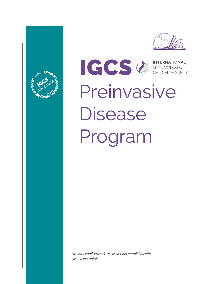



ICCS CONTERNATIONAL Preinvasive **Disease** Program

*Dr. Ida Ismail-Pratt & Dr. Mila Pontremoli Salcedo Ms. Susan Ralph*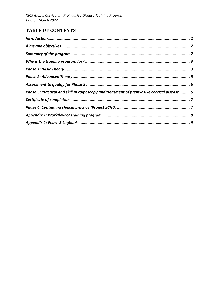# **TABLE OF CONTENTS**

| Phase 3: Practical and skill in colposcopy and treatment of preinvasive cervical disease  6 |
|---------------------------------------------------------------------------------------------|
|                                                                                             |
|                                                                                             |
|                                                                                             |
|                                                                                             |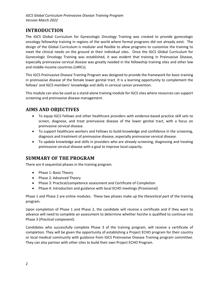### <span id="page-2-0"></span>**INTRODUCTION**

The IGCS Global Curriculum for Gynecologic Oncology Training was created to provide gynecologic oncology fellowship training in regions of the world where formal programs did not already exist. The design of the Global Curriculum is modular and flexible to allow programs to customize the training to meet the clinical needs on the ground at their individual sites. Once the IGCS Global Curriculum for Gynecologic Oncology Training was established, it was evident that training in Preinvasive Disease, especially preinvasive cervical disease was greatly needed in the fellowship training sites and other low and middle-income countries (LMICs).

This IGCS Preinvasive Disease Training Program was designed to provide the framework for basic training in preinvasive disease of the female lower genital tract. It is a learning opportunity to complement the fellows' and IGCS members' knowledge and skills in cervical cancer prevention.

This module can also be used as a stand-alone training module for IGCS sites where resources can support screening and preinvasive disease management.

### <span id="page-2-1"></span>**AIMS AND OBJECTIVES**

- To equip IGCS Fellows and other healthcare providers with evidence-based practice skill sets to screen, diagnose, and treat preinvasive disease of the lower genital tract, with a focus on preinvasive cervical disease.
- To support healthcare workers and Fellows to build knowledge and confidence in the screening, diagnosis and treatment of preinvasive disease, especially preinvasive cervical disease.
- To update knowledge and skills in providers who are already screening, diagnosing and treating preinvasive cervical disease with a goal to improve local capacity.

### <span id="page-2-2"></span>**SUMMARY OF THE PROGRAM**

There are 4 sequential phases in the training program.

- Phase 1: Basic Theory
- Phase 2: Advanced Theory
- Phase 3: Practical/competence assessment and Certificate of Completion
- Phase 4: Introduction and guidance with local ECHO meetings (Provisional)

Phase 1 and Phase 2 are online modules. These two phases make up the *theoretical part* of the training program.

Upon completion of Phase 1 and Phase 2, the candidate will receive a certificate and if they want to advance will need to complete an assessment to determine whether he/she is qualified to continue into Phase 3 (*Practical component*).

Candidates who successfully complete Phase 3 of the training program, will receive a certificate of completion. They will be given the opportunity of establishing a Project ECHO program for their country or local medical community with guidance from IGCS Preinvasive Disease Training program committee. They can also partner with other sites to build their own Project ECHO Program.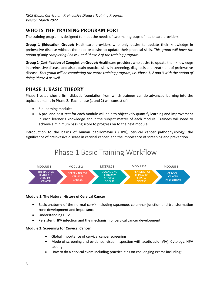# <span id="page-3-0"></span>**WHO IS THE TRAINING PROGRAM FOR?**

The training program is designed to meet the needs of two main groups of healthcare providers.

**Group 1 (Education Group):** Healthcare providers who only desire to update their knowledge in preinvasive disease without the need or desire to update their practical skills. *This group will have the option of only completing Phase 1 and Phase 2 of the training program.* 

**Group 2 (Certification of Completion Group):** Healthcare providers who desire to update their knowledge in preinvasive disease and also obtain practical skills in screening, diagnosis and treatment of preinvasive disease. *This group will be completing the entire training program, i.e. Phase 1, 2 and 3 with the option of doing Phase 4 as well.*

### <span id="page-3-1"></span>**PHASE 1: BASIC THEORY**

Phase 1 establishes a firm didactic foundation from which trainees can do advanced learning into the topical domains in Phase 2. Each phase (1 and 2) will consist of:

- 5 e-learning modules
- A pre- and post-test for each module will help to objectively quantify learning and improvement in each learner's knowledge about the subject matter of each module. Trainees will need to achieve a minimum passing score to progress on to the next module

Introduction to the basics of human papillomavirus (HPV), cervical cancer pathophysiology, the significance of preinvasive disease in cervical cancer, and the importance of screening and prevention.

# **Phase 1 Basic Training Workflow**



### **Module 1: The Natural History of Cervical Cancer**

- Basic anatomy of the normal cervix including squamous columnar junction and transformation zone development and importance
- Understanding HPV
- Persistent HPV infection and the mechanism of cervical cancer development

### **Module 2: Screening for Cervical Cancer**

- Global importance of cervical cancer screening
- Mode of screening and evidence: visual inspection with acetic acid (VIA), Cytology, HPV testing
- How to do a cervical exam including practical tips on challenging exams including: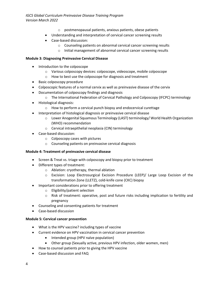*IGCS Global Curriculum Preinvasive Disease Training Program Version March 2022*

- o postmenopausal patients, anxious patients, obese patients
- Understanding and interpretation of cervical cancer screening results
- Case-based discussion:
	- o Counseling patients on abnormal cervical cancer screening results
	- o Initial management of abnormal cervical cancer screening results

#### **Module 3: Diagnosing Preinvasive Cervical Disease**

- Introduction to the colposcope
	- o Various colposcopy devices: colposcope, videoscope, mobile colposcope
	- o How to best use the colposcope for diagnosis and treatment
- Basic colposcopy procedure
- Colposcopic features of a normal cervix as well as preinvasive disease of the cervix
- Documentation of colposcopy findings and diagnosis
	- o The International Federation of Cervical Pathology and Colposcopy (IFCPC) terminology
- Histological diagnosis:
	- $\circ$  How to perform a cervical punch biopsy and endocervical curettage
- Interpretation of histological diagnosis or preinvasive cervical disease
	- o Lower Anogenital Squamous Terminology (LAST) terminology/ World Health Organization (WHO) recommendation
	- o Cervical intraepithelial neoplasia (CIN) terminology
- Case-based discussion:
	- o Colposcopy cases with pictures
	- o Counseling patients on preinvasive cervical diagnosis

#### **Module 4: Treatment of preinvasive cervical disease**

- Screen & Treat vs. triage with colposcopy and biopsy prior to treatment
- Different types of treatment:
	- o Ablation: cryotherapy, thermal ablation
	- o Excision: Loop Electrosurgical Excision Procedure (LEEP)/ Large Loop Excision of the transformation Zone (LLETZ), cold-knife cone (CKC) biopsy
- Important considerations prior to offering treatment
	- o Eligibility/patient selection
	- o Risk of treatment: operative, post and future risks including implication to fertility and pregnancy
- Counseling and consenting patients for treatment
- Case-based discussion

#### **Module 5: Cervical cancer prevention**

- What is the HPV vaccine? including types of vaccine
- Current evidence on HPV vaccination in cervical cancer prevention
	- Intended group (HPV naïve population)
	- Other group (Sexually active, previous HPV infection, older women, men)
- How to counsel patients prior to giving the HPV vaccine
- Case-based discussion and FAQ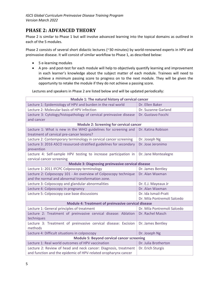# <span id="page-5-0"></span>**PHASE 2: ADVANCED THEORY**

Phase 2 is similar to Phase 1 but will involve advanced learning into the topical domains as outlined in each of the 5 modules.

Phase 2 consists of several short didactic lectures (~30 minutes) by world-renowned experts in HPV and preinvasive disease. It will consist of similar workflow to Phase 1, as described below:

- 5 e-learning modules
- A pre- and post-test for each module will help to objectively quantify learning and improvement in each learner's knowledge about the subject matter of each module. Trainees will need to achieve a minimum passing score to progress on to the next module. They will be given the opportunity to retake the module if they do not achieve a passing score.

Lectures and speakers in Phase 2 are listed below and will be updated periodically:

| Module 1: The natural history of cervical cancer                          |                             |  |
|---------------------------------------------------------------------------|-----------------------------|--|
| Lecture 1: Epidemiology of HPV and burden in the real world               | Dr. Ellen Baker             |  |
| Lecture 2: Molecular basis of HPV infection                               | Dr. Suzanne Garland         |  |
| Lecture 3: Cytology/histopathology of cervical preinvasive disease        | Dr. Gustavo Focchi          |  |
| and cancer                                                                |                             |  |
| <b>Module 2: Screening for cervical cancer</b>                            |                             |  |
| Lecture 1: What is new in the WHO guidelines for screening and            | Dr. Katina Robison          |  |
| treatment of cervical pre-cancer lesions?                                 |                             |  |
| Lecture 2: Contemporary terminology in cervical cancer screening          | Dr. Joseph Ng               |  |
| Lecture 3: 2016 ASCO resourced-stratified guidelines for secondary        | Dr. Jose Jeronimo           |  |
| prevention                                                                |                             |  |
| Lecture 4: Self-sample HPV testing to increase participation in           | Dr. Jane Montealegre        |  |
| cervical cancer screening                                                 |                             |  |
| Module 3: Diagnosing preinvasive cervical disease                         |                             |  |
| Lecture 1: 2011 IFCPC Colposcopy terminology                              | Dr. James Bentley           |  |
| Lecture 2: Colposcopy 101 - An overview of Colposcopy technique           | Dr. Alan Waxman             |  |
| and the normal and abnormal transformation zone.                          |                             |  |
| Lecture 3: Colposcopy and glandular abnormalities                         | Dr. E.J. Mayeaux Jr         |  |
| Lecture 4: Colposcopy in pregnancy                                        | Dr. Alan Waxman             |  |
| Lecture 5: Colposcopy case base discussions                               | Dr. Ida Ismail-Pratt        |  |
|                                                                           | Dr. Mila Pontremoli Salcedo |  |
| Module 4: Treatment of preinvasive cervical disease                       |                             |  |
| Lecture 1: General principles of treatment                                | Dr. Mila Pontremoli Salcedo |  |
| Lecture 2: Treatment of preinvasive cervical disease: Ablation            | Dr. Rachel Masch            |  |
| techniques                                                                |                             |  |
| Lecture 3: Treatment of preinvasive cervical disease: Excision<br>methods | Dr. James Bentley           |  |
| Lecture 4: Difficult situations in colposcopy                             | Dr. Joseph Ng               |  |
| <b>Module 5: Beyond cervical cancer screening</b>                         |                             |  |
| Lecture 1: Real world outcomes of HPV vaccination                         | Dr. Julia Brotherton        |  |
| Lecture 2: Review of head and neck cancer: Diagnosis, treatment           | Dr. Erich Sturgis           |  |
| and function and the epidemic of HPV-related oropharynx cancer            |                             |  |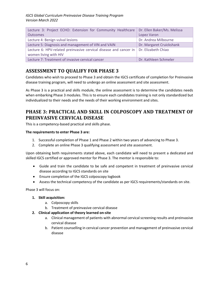| Lecture 3: Project ECHO: Extension for Community Healthcare   Dr. Ellen Baker/Ms. Melissa                        |                          |
|------------------------------------------------------------------------------------------------------------------|--------------------------|
| <b>Outcomes</b>                                                                                                  | Lopez Varon              |
| Lecture 4: Benign vulval lesions                                                                                 | Dr. Andrea Milbourne     |
| Lecture 5: Diagnosis and management of VIN and VAIN                                                              | Dr. Margaret Cruickshank |
| Lecture 6: HPV-related preinvasive cervical disease and cancer in   Dr. Elizabeth Chiao<br>women living with HIV |                          |
| Lecture 7: Treatment of invasive cervical cancer                                                                 | Dr. Kathleen Schmeler    |

# <span id="page-6-0"></span>**ASSESSMENT TO QUALIFY FOR PHASE 3**

Candidates who wish to proceed to Phase 3 and obtain the IGCS certificate of completion for Preinvasive disease training program, will need to undergo an online assessment and site assessment.

As Phase 3 is a practical and skills module, the online assessment is to determine the candidates needs when embarking Phase 3 modules. This is to ensure each candidates training is not only standardized but individualized to their needs and the needs of their working environment and sites.

# <span id="page-6-1"></span>**PHASE 3: PRACTICAL AND SKILL IN COLPOSCOPY AND TREATMENT OF PREINVASIVE CERVICAL DISEASE**

This is a competency-based practical and skills phase.

#### **The requirements to enter Phase 3 are:**

- 1. Successful completion of Phase 1 and Phase 2 within two years of advancing to Phase 3.
- 2. Complete an online Phase 3 qualifying assessment and site assessment.

Upon obtaining both requirements stated above, each candidate will need to present a dedicated and skilled IGCS certified or approved mentor for Phase 3. The mentor is responsible to:

- Guide and train the candidate to be safe and competent in treatment of preinvasive cervical disease according to IGCS standards on site
- Ensure completion of the IGCS colposcopy logbook
- Assess the technical competency of the candidate as per IGCS requirements/standards on site.

Phase 3 will focus on:

#### **1. Skill acquisition:**

- a. Colposcopy skills
- b. Treatment of preinvasive cervical disease
- **2. Clinical application of theory learned on-site** 
	- a. Clinical management of patients with abnormal cervical screening results and preinvasive cervical disease
	- b. Patient counselling in cervical cancer prevention and management of preinvasive cervical disease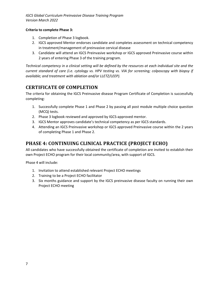*IGCS Global Curriculum Preinvasive Disease Training Program Version March 2022*

#### **Criteria to complete Phase 3:**

- 1. Completion of Phase 3 logbook.
- 2. IGCS approved Mentor endorses candidate and completes assessment on technical competency in treatment/management of preinvasive cervical disease
- 3. Candidate will attend an IGCS Preinvasive workshop or IGCS approved Preinvasive course within 2 years of entering Phase 3 of the training program.

*Technical competency in a clinical setting will be defined by the resources at each individual site and the current standard of care (i.e. cytology vs. HPV testing vs. VIA for screening; colposcopy with biopsy if available; and treatment with ablation and/or LLETZ/LEEP).*

## <span id="page-7-0"></span>**CERTIFICATE OF COMPLETION**

The criteria for obtaining the IGCS Preinvasive disease Program Certificate of Completion is successfully completing:

- 1. Successfully complete Phase 1 and Phase 2 by passing all post module multiple choice question (MCQ) tests.
- 2. Phase 3 logbook reviewed and approved by IGCS-approved mentor.
- 3. IGCS Mentor approves candidate's technical competency as per IGCS standards.
- 4. Attending an IGCS Preinvasive workshop or IGCS approved Preinvasive course within the 2 years of completing Phase 1 and Phase 2.

### <span id="page-7-1"></span>**PHASE 4: CONTINUING CLINICAL PRACTICE (PROJECT ECHO)**

All candidates who have successfully obtained the certificate of completion are invited to establish their own Project ECHO program for their local community/area, with support of IGCS.

Phase 4 will include:

- 1. Invitation to attend established relevant Project ECHO meetings
- 2. Training to be a Project ECHO facilitator
- 3. Six months guidance and support by the IGCS preinvasive disease faculty on running their own Project ECHO meeting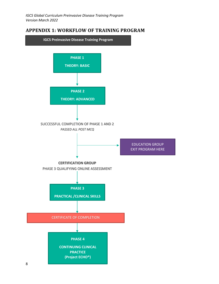### <span id="page-8-0"></span>**APPENDIX 1: WORKFLOW OF TRAINING PROGRAM**